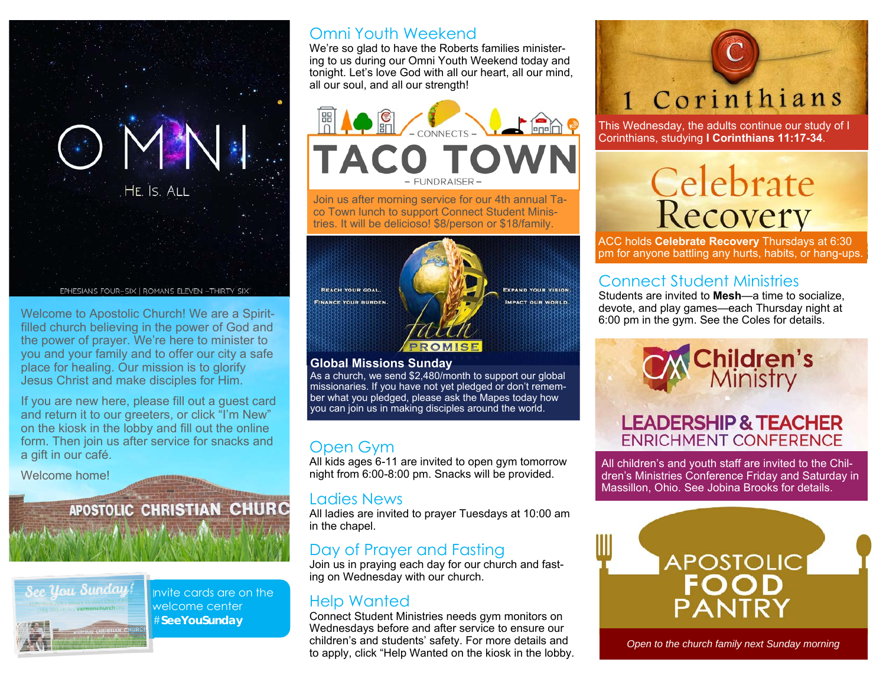

Welcome to Apostolic Church! We are a Spiritfilled church believing in the power of God and the power of prayer. We're here to minister to you and your family and to offer our city a safe place for healing. Our mission is to glorify Jesus Christ and make disciples for Him.

If you are new here, please fill out a guest card and return it to our greeters, or click "I'm New" on the kiosk in the lobby and fill out the online form. Then join us after service for snacks and a gift in our café.

 $\Delta$  and  $\alpha$  and  $\alpha$  and  $\alpha$ 

Welcome home!

#### APOSTOLIC CHRISTIAN CHURC



Invite cards are on the welcome center #**SeeYouSunday** 

#### Omni Youth Weekend

We're so glad to have the Roberts families ministering to us during our Omni Youth Weekend today and tonight. Let's love God with all our heart, all our mind, all our soul, and all our strength!



Join us after morning service for our 4th annual Taco Town lunch to support Connect Student Ministries. It will be delicioso! \$8/person or \$18/family.



#### **Global Missions Sunday**

As a church, we send \$2,480/month to support our global missionaries. If you have not yet pledged or don't remember what you pledged, please ask the Mapes today how you can join us in making disciples around the world.

#### Open Gym

All kids ages 6-11 are invited to open gym tomorrow night from 6:00-8:00 pm. Snacks will be provided.

#### Ladies News

All ladies are invited to prayer Tuesdays at 10:00 am in the chapel.

#### Day of Prayer and Fasting

Join us in praying each day for our church and fasting on Wednesday with our church.

#### Help Wanted

Connect Student Ministries needs gym monitors on Wednesdays before and after service to ensure our children's and students' safety. For more details and to apply, click "Help Wanted on the kiosk in the lobby.

# 1 Corinthians

This Wednesday, the adults continue our study of I Corinthians, studying **I Corinthians 11:17-34**.

# Celebrate<br>Recovery

ACC holds **Celebrate Recovery** Thursdays at 6:30 pm for anyone battling any hurts, habits, or hang-ups.

#### Connect Student Ministries

Students are invited to **Mesh**—a time to socialize, devote, and play games—each Thursday night at 6:00 pm in the gym. See the Coles for details.

# **Children's**<br>Ministry

#### **LEADERSHIP & TEACHER ENRICHMENT CONFERENCE**

All children's and youth staff are invited to the Children's Ministries Conference Friday and Saturday in Massillon, Ohio. See Jobina Brooks for details.



*Open to the church family next Sunday morning*